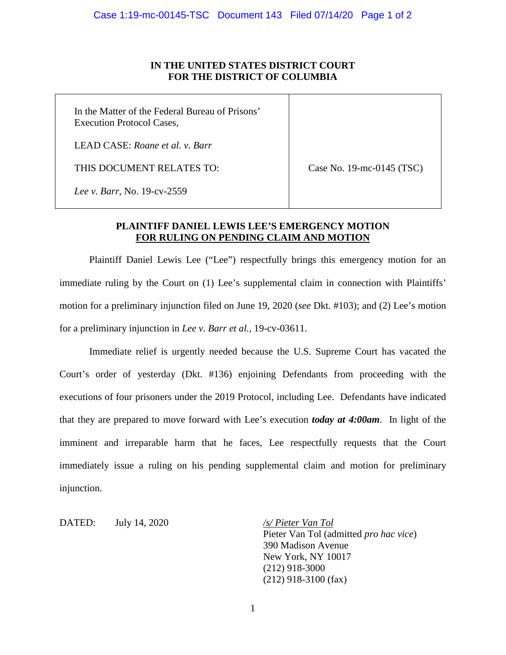## **IN THE UNITED STATES DISTRICT COURT FOR THE DISTRICT OF COLUMBIA**

In the Matter of the Federal Bureau of Prisons' Execution Protocol Cases,

LEAD CASE: *Roane et al. v. Barr*

THIS DOCUMENT RELATES TO:

Case No. 19-mc-0145 (TSC)

*Lee v. Barr*, No. 19-cv-2559

## **PLAINTIFF DANIEL LEWIS LEE'S EMERGENCY MOTION FOR RULING ON PENDING CLAIM AND MOTION**

Plaintiff Daniel Lewis Lee ("Lee") respectfully brings this emergency motion for an immediate ruling by the Court on (1) Lee's supplemental claim in connection with Plaintiffs' motion for a preliminary injunction filed on June 19, 2020 (*see* Dkt. #103); and (2) Lee's motion for a preliminary injunction in *Lee v. Barr et al.*, 19-cv-03611.

Immediate relief is urgently needed because the U.S. Supreme Court has vacated the Court's order of yesterday (Dkt. #136) enjoining Defendants from proceeding with the executions of four prisoners under the 2019 Protocol, including Lee. Defendants have indicated that they are prepared to move forward with Lee's execution *today at 4:00am*. In light of the imminent and irreparable harm that he faces, Lee respectfully requests that the Court immediately issue a ruling on his pending supplemental claim and motion for preliminary injunction.

DATED: July 14, 2020 */s/ Pieter Van Tol*

Pieter Van Tol (admitted *pro hac vice*) 390 Madison Avenue New York, NY 10017 (212) 918-3000 (212) 918-3100 (fax)

1